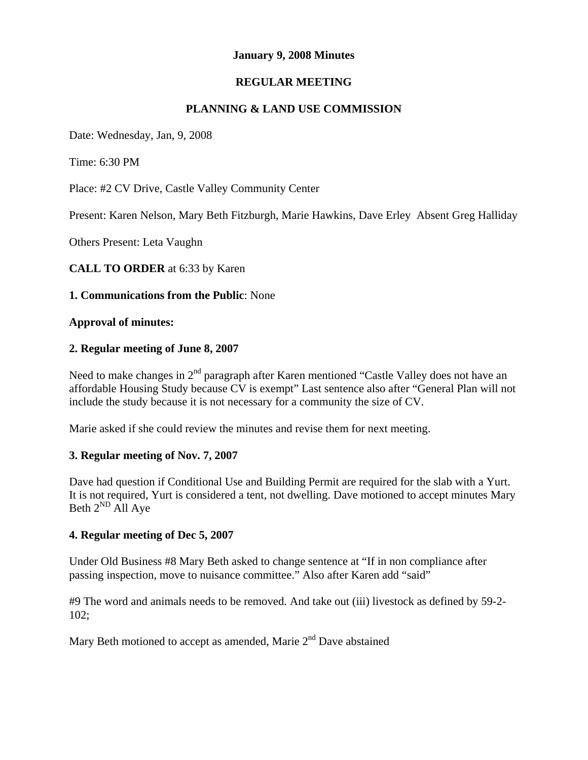### **January 9, 2008 Minutes**

# **REGULAR MEETING**

### **PLANNING & LAND USE COMMISSION**

Date: Wednesday, Jan, 9, 2008

Time: 6:30 PM

Place: #2 CV Drive, Castle Valley Community Center

Present: Karen Nelson, Mary Beth Fitzburgh, Marie Hawkins, Dave Erley Absent Greg Halliday

Others Present: Leta Vaughn

**CALL TO ORDER** at 6:33 by Karen

### **1. Communications from the Public**: None

#### **Approval of minutes:**

#### **2. Regular meeting of June 8, 2007**

Need to make changes in 2<sup>nd</sup> paragraph after Karen mentioned "Castle Valley does not have an affordable Housing Study because CV is exempt" Last sentence also after "General Plan will not include the study because it is not necessary for a community the size of CV.

Marie asked if she could review the minutes and revise them for next meeting.

### **3. Regular meeting of Nov. 7, 2007**

Dave had question if Conditional Use and Building Permit are required for the slab with a Yurt. It is not required, Yurt is considered a tent, not dwelling. Dave motioned to accept minutes Mary Beth  $2^{ND}$  All Aye

### **4. Regular meeting of Dec 5, 2007**

Under Old Business #8 Mary Beth asked to change sentence at "If in non compliance after passing inspection, move to nuisance committee." Also after Karen add "said"

#9 The word and animals needs to be removed. And take out (iii) livestock as defined by 59-2- 102;

Mary Beth motioned to accept as amended, Marie 2<sup>nd</sup> Dave abstained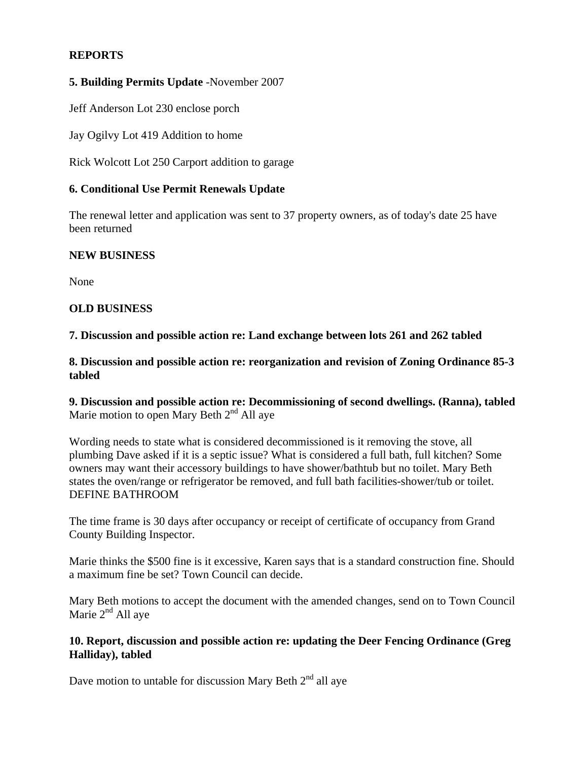# **REPORTS**

### **5. Building Permits Update** -November 2007

Jeff Anderson Lot 230 enclose porch

Jay Ogilvy Lot 419 Addition to home

Rick Wolcott Lot 250 Carport addition to garage

### **6. Conditional Use Permit Renewals Update**

The renewal letter and application was sent to 37 property owners, as of today's date 25 have been returned

### **NEW BUSINESS**

None

### **OLD BUSINESS**

**7. Discussion and possible action re: Land exchange between lots 261 and 262 tabled** 

**8. Discussion and possible action re: reorganization and revision of Zoning Ordinance 85-3 tabled** 

**9. Discussion and possible action re: Decommissioning of second dwellings. (Ranna), tabled** Marie motion to open Mary Beth  $2<sup>nd</sup>$  All aye

Wording needs to state what is considered decommissioned is it removing the stove, all plumbing Dave asked if it is a septic issue? What is considered a full bath, full kitchen? Some owners may want their accessory buildings to have shower/bathtub but no toilet. Mary Beth states the oven/range or refrigerator be removed, and full bath facilities-shower/tub or toilet. DEFINE BATHROOM

The time frame is 30 days after occupancy or receipt of certificate of occupancy from Grand County Building Inspector.

Marie thinks the \$500 fine is it excessive, Karen says that is a standard construction fine. Should a maximum fine be set? Town Council can decide.

Mary Beth motions to accept the document with the amended changes, send on to Town Council Marie  $2<sup>nd</sup>$  All ave

# **10. Report, discussion and possible action re: updating the Deer Fencing Ordinance (Greg Halliday), tabled**

Dave motion to untable for discussion Mary Beth  $2<sup>nd</sup>$  all aye